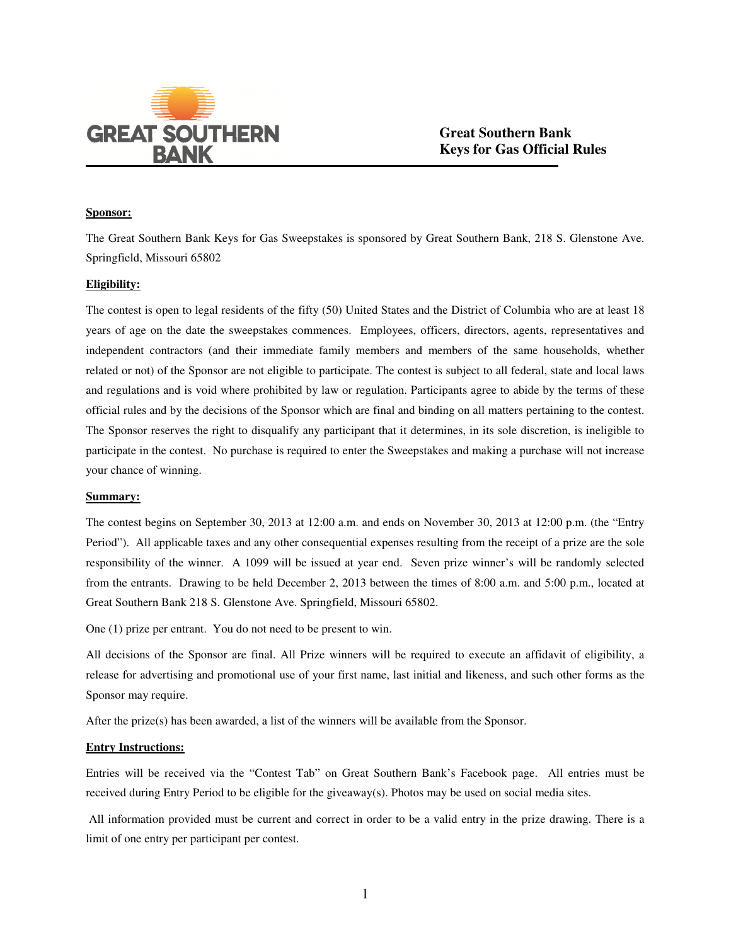

**Great Southern Bank Keys for Gas Official Rules**

### **Sponsor:**

The Great Southern Bank Keys for Gas Sweepstakes is sponsored by Great Southern Bank, 218 S. Glenstone Ave. Springfield, Missouri 65802

### **Eligibility:**

The contest is open to legal residents of the fifty (50) United States and the District of Columbia who are at least 18 years of age on the date the sweepstakes commences. Employees, officers, directors, agents, representatives and independent contractors (and their immediate family members and members of the same households, whether related or not) of the Sponsor are not eligible to participate. The contest is subject to all federal, state and local laws and regulations and is void where prohibited by law or regulation. Participants agree to abide by the terms of these official rules and by the decisions of the Sponsor which are final and binding on all matters pertaining to the contest. The Sponsor reserves the right to disqualify any participant that it determines, in its sole discretion, is ineligible to participate in the contest. No purchase is required to enter the Sweepstakes and making a purchase will not increase your chance of winning.

# **Summary:**

The contest begins on September 30, 2013 at 12:00 a.m. and ends on November 30, 2013 at 12:00 p.m. (the "Entry Period"). All applicable taxes and any other consequential expenses resulting from the receipt of a prize are the sole responsibility of the winner. A 1099 will be issued at year end. Seven prize winner's will be randomly selected from the entrants. Drawing to be held December 2, 2013 between the times of 8:00 a.m. and 5:00 p.m., located at Great Southern Bank 218 S. Glenstone Ave. Springfield, Missouri 65802.

One (1) prize per entrant. You do not need to be present to win.

All decisions of the Sponsor are final. All Prize winners will be required to execute an affidavit of eligibility, a release for advertising and promotional use of your first name, last initial and likeness, and such other forms as the Sponsor may require.

After the prize(s) has been awarded, a list of the winners will be available from the Sponsor.

### **Entry Instructions:**

Entries will be received via the "Contest Tab" on Great Southern Bank's Facebook page. All entries must be received during Entry Period to be eligible for the giveaway(s). Photos may be used on social media sites.

 All information provided must be current and correct in order to be a valid entry in the prize drawing. There is a limit of one entry per participant per contest.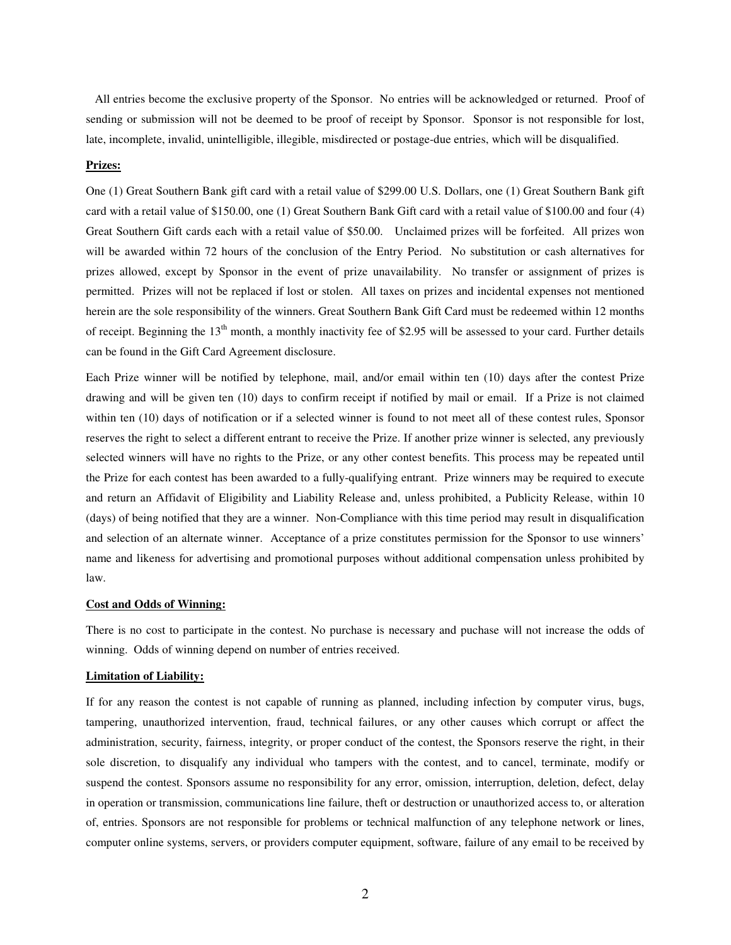All entries become the exclusive property of the Sponsor. No entries will be acknowledged or returned. Proof of sending or submission will not be deemed to be proof of receipt by Sponsor. Sponsor is not responsible for lost, late, incomplete, invalid, unintelligible, illegible, misdirected or postage-due entries, which will be disqualified.

# **Prizes:**

One (1) Great Southern Bank gift card with a retail value of \$299.00 U.S. Dollars, one (1) Great Southern Bank gift card with a retail value of \$150.00, one (1) Great Southern Bank Gift card with a retail value of \$100.00 and four (4) Great Southern Gift cards each with a retail value of \$50.00. Unclaimed prizes will be forfeited. All prizes won will be awarded within 72 hours of the conclusion of the Entry Period. No substitution or cash alternatives for prizes allowed, except by Sponsor in the event of prize unavailability. No transfer or assignment of prizes is permitted. Prizes will not be replaced if lost or stolen. All taxes on prizes and incidental expenses not mentioned herein are the sole responsibility of the winners. Great Southern Bank Gift Card must be redeemed within 12 months of receipt. Beginning the 13<sup>th</sup> month, a monthly inactivity fee of \$2.95 will be assessed to your card. Further details can be found in the Gift Card Agreement disclosure.

Each Prize winner will be notified by telephone, mail, and/or email within ten (10) days after the contest Prize drawing and will be given ten (10) days to confirm receipt if notified by mail or email. If a Prize is not claimed within ten (10) days of notification or if a selected winner is found to not meet all of these contest rules, Sponsor reserves the right to select a different entrant to receive the Prize. If another prize winner is selected, any previously selected winners will have no rights to the Prize, or any other contest benefits. This process may be repeated until the Prize for each contest has been awarded to a fully-qualifying entrant. Prize winners may be required to execute and return an Affidavit of Eligibility and Liability Release and, unless prohibited, a Publicity Release, within 10 (days) of being notified that they are a winner. Non-Compliance with this time period may result in disqualification and selection of an alternate winner. Acceptance of a prize constitutes permission for the Sponsor to use winners' name and likeness for advertising and promotional purposes without additional compensation unless prohibited by law.

# **Cost and Odds of Winning:**

There is no cost to participate in the contest. No purchase is necessary and puchase will not increase the odds of winning. Odds of winning depend on number of entries received.

# **Limitation of Liability:**

If for any reason the contest is not capable of running as planned, including infection by computer virus, bugs, tampering, unauthorized intervention, fraud, technical failures, or any other causes which corrupt or affect the administration, security, fairness, integrity, or proper conduct of the contest, the Sponsors reserve the right, in their sole discretion, to disqualify any individual who tampers with the contest, and to cancel, terminate, modify or suspend the contest. Sponsors assume no responsibility for any error, omission, interruption, deletion, defect, delay in operation or transmission, communications line failure, theft or destruction or unauthorized access to, or alteration of, entries. Sponsors are not responsible for problems or technical malfunction of any telephone network or lines, computer online systems, servers, or providers computer equipment, software, failure of any email to be received by